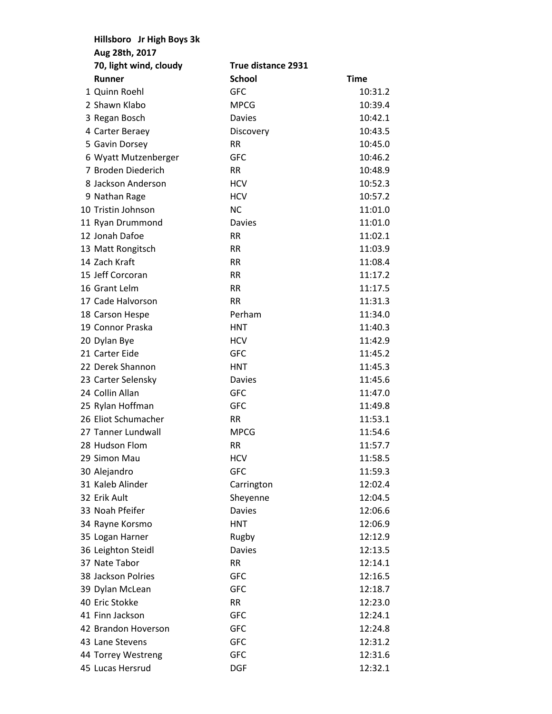| Hillsboro Jr High Boys 3k |                    |             |  |  |
|---------------------------|--------------------|-------------|--|--|
| Aug 28th, 2017            |                    |             |  |  |
| 70, light wind, cloudy    | True distance 2931 |             |  |  |
| Runner                    | <b>School</b>      | <b>Time</b> |  |  |
| 1 Quinn Roehl             | <b>GFC</b>         | 10:31.2     |  |  |
| 2 Shawn Klabo             | <b>MPCG</b>        | 10:39.4     |  |  |
| 3 Regan Bosch             | Davies             | 10:42.1     |  |  |
| 4 Carter Beraey           | Discovery          | 10:43.5     |  |  |
| 5 Gavin Dorsey            | RR.                | 10:45.0     |  |  |
| 6 Wyatt Mutzenberger      | <b>GFC</b>         | 10:46.2     |  |  |
| 7 Broden Diederich        | <b>RR</b>          | 10:48.9     |  |  |
| 8 Jackson Anderson        | <b>HCV</b>         | 10:52.3     |  |  |
| 9 Nathan Rage             | <b>HCV</b>         | 10:57.2     |  |  |
| 10 Tristin Johnson        | <b>NC</b>          | 11:01.0     |  |  |
| 11 Ryan Drummond          | <b>Davies</b>      | 11:01.0     |  |  |
| 12 Jonah Dafoe            | <b>RR</b>          | 11:02.1     |  |  |
| 13 Matt Rongitsch         | <b>RR</b>          | 11:03.9     |  |  |
| 14 Zach Kraft             | <b>RR</b>          | 11:08.4     |  |  |
| 15 Jeff Corcoran          | <b>RR</b>          | 11:17.2     |  |  |
| 16 Grant Lelm             | <b>RR</b>          | 11:17.5     |  |  |
| 17 Cade Halvorson         | <b>RR</b>          | 11:31.3     |  |  |
| 18 Carson Hespe           | Perham             | 11:34.0     |  |  |
| 19 Connor Praska          | <b>HNT</b>         | 11:40.3     |  |  |
| 20 Dylan Bye              | <b>HCV</b>         | 11:42.9     |  |  |
| 21 Carter Eide            | <b>GFC</b>         | 11:45.2     |  |  |
| 22 Derek Shannon          | <b>HNT</b>         | 11:45.3     |  |  |
| 23 Carter Selensky        | <b>Davies</b>      | 11:45.6     |  |  |
| 24 Collin Allan           | <b>GFC</b>         | 11:47.0     |  |  |
| 25 Rylan Hoffman          | <b>GFC</b>         | 11:49.8     |  |  |
| 26 Eliot Schumacher       | <b>RR</b>          | 11:53.1     |  |  |
| 27 Tanner Lundwall        | <b>MPCG</b>        | 11:54.6     |  |  |
| 28 Hudson Flom            | <b>RR</b>          | 11:57.7     |  |  |
| 29 Simon Mau              | <b>HCV</b>         | 11:58.5     |  |  |
| 30 Alejandro              | <b>GFC</b>         | 11:59.3     |  |  |
| 31 Kaleb Alinder          | Carrington         | 12:02.4     |  |  |
| 32 Erik Ault              | Sheyenne           | 12:04.5     |  |  |
| 33 Noah Pfeifer           | <b>Davies</b>      | 12:06.6     |  |  |
| 34 Rayne Korsmo           | <b>HNT</b>         | 12:06.9     |  |  |
| 35 Logan Harner           | Rugby              | 12:12.9     |  |  |
| 36 Leighton Steidl        | <b>Davies</b>      | 12:13.5     |  |  |
| 37 Nate Tabor             | <b>RR</b>          | 12:14.1     |  |  |
| 38 Jackson Polries        | <b>GFC</b>         | 12:16.5     |  |  |
| 39 Dylan McLean           | <b>GFC</b>         | 12:18.7     |  |  |
| 40 Eric Stokke            | <b>RR</b>          | 12:23.0     |  |  |
| 41 Finn Jackson           | <b>GFC</b>         | 12:24.1     |  |  |
| 42 Brandon Hoverson       | <b>GFC</b>         | 12:24.8     |  |  |
| 43 Lane Stevens           | GFC                | 12:31.2     |  |  |
| 44 Torrey Westreng        | GFC                | 12:31.6     |  |  |
| 45 Lucas Hersrud          | <b>DGF</b>         | 12:32.1     |  |  |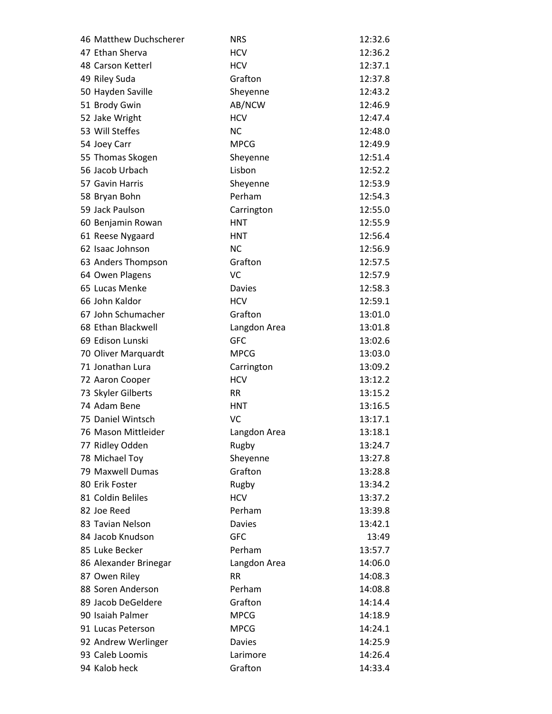| 46 Matthew Duchscherer | <b>NRS</b>    | 12:32.6 |
|------------------------|---------------|---------|
| 47 Ethan Sherva        | <b>HCV</b>    | 12:36.2 |
| 48 Carson Ketterl      | <b>HCV</b>    | 12:37.1 |
| 49 Riley Suda          | Grafton       | 12:37.8 |
| 50 Hayden Saville      | Sheyenne      | 12:43.2 |
| 51 Brody Gwin          | AB/NCW        | 12:46.9 |
| 52 Jake Wright         | <b>HCV</b>    | 12:47.4 |
| 53 Will Steffes        | <b>NC</b>     | 12:48.0 |
| 54 Joey Carr           | <b>MPCG</b>   | 12:49.9 |
| 55 Thomas Skogen       | Sheyenne      | 12:51.4 |
| 56 Jacob Urbach        | Lisbon        | 12:52.2 |
| 57 Gavin Harris        | Sheyenne      | 12:53.9 |
| 58 Bryan Bohn          | Perham        | 12:54.3 |
| 59 Jack Paulson        | Carrington    | 12:55.0 |
| 60 Benjamin Rowan      | <b>HNT</b>    | 12:55.9 |
| 61 Reese Nygaard       | <b>HNT</b>    | 12:56.4 |
| 62 Isaac Johnson       | <b>NC</b>     | 12:56.9 |
| 63 Anders Thompson     | Grafton       | 12:57.5 |
| 64 Owen Plagens        | VC            | 12:57.9 |
| 65 Lucas Menke         | <b>Davies</b> | 12:58.3 |
| 66 John Kaldor         | <b>HCV</b>    | 12:59.1 |
| 67 John Schumacher     | Grafton       | 13:01.0 |
| 68 Ethan Blackwell     | Langdon Area  | 13:01.8 |
| 69 Edison Lunski       | <b>GFC</b>    | 13:02.6 |
| 70 Oliver Marquardt    | <b>MPCG</b>   | 13:03.0 |
| 71 Jonathan Lura       | Carrington    | 13:09.2 |
| 72 Aaron Cooper        | <b>HCV</b>    | 13:12.2 |
| 73 Skyler Gilberts     | <b>RR</b>     | 13:15.2 |
| 74 Adam Bene           | <b>HNT</b>    | 13:16.5 |
| 75 Daniel Wintsch      | VC            | 13:17.1 |
| 76 Mason Mittleider    | Langdon Area  | 13:18.1 |
| 77 Ridley Odden        | Rugby         | 13:24.7 |
| 78 Michael Toy         | Sheyenne      | 13:27.8 |
| 79 Maxwell Dumas       | Grafton       | 13:28.8 |
| 80 Erik Foster         | Rugby         | 13:34.2 |
| 81 Coldin Beliles      | <b>HCV</b>    | 13:37.2 |
| 82 Joe Reed            | Perham        | 13:39.8 |
| 83 Tavian Nelson       | <b>Davies</b> | 13:42.1 |
| 84 Jacob Knudson       | <b>GFC</b>    | 13:49   |
| 85 Luke Becker         | Perham        | 13:57.7 |
| 86 Alexander Brinegar  | Langdon Area  | 14:06.0 |
| 87 Owen Riley          | <b>RR</b>     | 14:08.3 |
| 88 Soren Anderson      | Perham        | 14:08.8 |
| 89 Jacob DeGeldere     | Grafton       | 14:14.4 |
| 90 Isaiah Palmer       | <b>MPCG</b>   | 14:18.9 |
| 91 Lucas Peterson      | <b>MPCG</b>   | 14:24.1 |
| 92 Andrew Werlinger    | <b>Davies</b> | 14:25.9 |
| 93 Caleb Loomis        | Larimore      | 14:26.4 |
| 94 Kalob heck          | Grafton       | 14:33.4 |